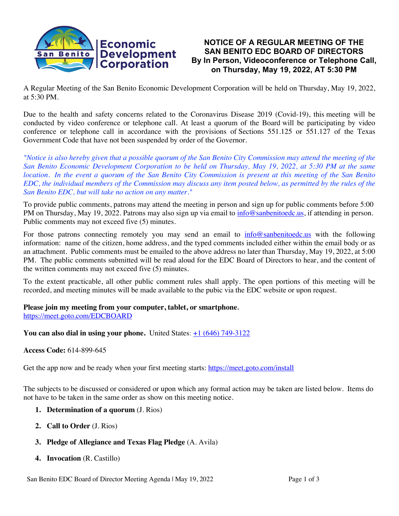

# **NOTICE OF A REGULAR MEETING OF THE SAN BENITO EDC BOARD OF DIRECTORS By In Person, Videoconference or Telephone Call, on Thursday, May 19, 2022, AT 5:30 PM**

A Regular Meeting of the San Benito Economic Development Corporation will be held on Thursday, May 19, 2022, at 5:30 PM.

Due to the health and safety concerns related to the Coronavirus Disease 2019 (Covid-19), this meeting will be conducted by video conference or telephone call. At least a quorum of the Board will be participating by video conference or telephone call in accordance with the provisions of Sections 551.125 or 551.127 of the Texas Government Code that have not been suspended by order of the Governor.

*"Notice is also hereby given that a possible quorum of the San Benito City Commission may attend the meeting of the San Benito Economic Development Corporation to be held on Thursday, May 19, 2022, at 5:30 PM at the same location. In the event a quorum of the San Benito City Commission is present at this meeting of the San Benito EDC, the individual members of the Commission may discuss any item posted below, as permitted by the rules of the San Benito EDC, but will take no action on any matter."*

To provide public comments, patrons may attend the meeting in person and sign up for public comments before 5:00 PM on Thursday, May 19, 2022. Patrons may also sign up via email to info@sanbenitoedc.us, if attending in person. Public comments may not exceed five (5) minutes.

For those patrons connecting remotely you may send an email to **info@sanbenitoedc.us** with the following information: name of the citizen, home address, and the typed comments included either within the email body or as an attachment. Public comments must be emailed to the above address no later than Thursday, May 19, 2022, at 5:00 PM. The public comments submitted will be read aloud for the EDC Board of Directors to hear, and the content of the written comments may not exceed five (5) minutes.

To the extent practicable, all other public comment rules shall apply. The open portions of this meeting will be recorded, and meeting minutes will be made available to the pubic via the EDC website or upon request.

#### **Please join my meeting from your computer, tablet, or smartphone.** https://meet.goto.com/EDCBOARD

**You can also dial in using your phone.** United States:  $\pm 1$  (646) 749-3122

## **Access Code:** 614-899-645

Get the app now and be ready when your first meeting starts: https://meet.goto.com/install

The subjects to be discussed or considered or upon which any formal action may be taken are listed below. Items do not have to be taken in the same order as show on this meeting notice.

- **1. Determination of a quorum** (J. Rios)
- **2. Call to Order** (J. Rios)
- **3. Pledge of Allegiance and Texas Flag Pledge** (A. Avila)
- **4. Invocation** (R. Castillo)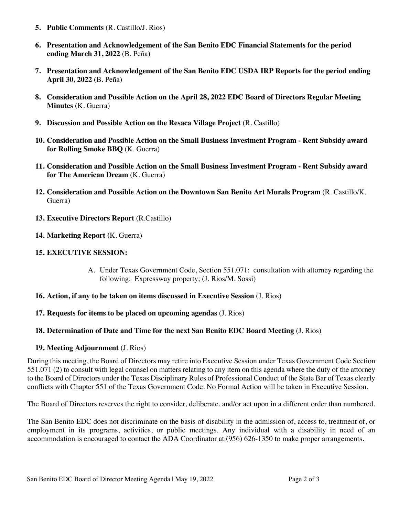- **5. Public Comments** (R. Castillo/J. Rios)
- **6. Presentation and Acknowledgement of the San Benito EDC Financial Statements for the period ending March 31, 2022** (B. Peña)
- **7. Presentation and Acknowledgement of the San Benito EDC USDA IRP Reports for the period ending April 30, 2022** (B. Peña)
- **8. Consideration and Possible Action on the April 28, 2022 EDC Board of Directors Regular Meeting Minutes** (K. Guerra)
- **9. Discussion and Possible Action on the Resaca Village Project** (R. Castillo)
- **10. Consideration and Possible Action on the Small Business Investment Program - Rent Subsidy award for Rolling Smoke BBQ** (K. Guerra)
- **11. Consideration and Possible Action on the Small Business Investment Program - Rent Subsidy award for The American Dream** (K. Guerra)
- **12. Consideration and Possible Action on the Downtown San Benito Art Murals Program** (R. Castillo/K. Guerra)
- **13. Executive Directors Report** (R.Castillo)
- **14. Marketing Report (**K. Guerra)

### **15. EXECUTIVE SESSION:**

A. Under Texas Government Code, Section 551.071: consultation with attorney regarding the following: Expressway property; (J. Rios/M. Sossi)

#### **16. Action, if any to be taken on items discussed in Executive Session** (J. Rios)

## **17. Requests for items to be placed on upcoming agendas** (J. Rios)

## **18. Determination of Date and Time for the next San Benito EDC Board Meeting** (J. Rios)

## **19. Meeting Adjournment** (J. Rios)

During this meeting, the Board of Directors may retire into Executive Session under Texas Government Code Section 551.071 (2) to consult with legal counsel on matters relating to any item on this agenda where the duty of the attorney to the Board of Directors under the Texas Disciplinary Rules of Professional Conduct of the State Bar of Texas clearly conflicts with Chapter 551 of the Texas Government Code. No Formal Action will be taken in Executive Session.

The Board of Directors reserves the right to consider, deliberate, and/or act upon in a different order than numbered.

The San Benito EDC does not discriminate on the basis of disability in the admission of, access to, treatment of, or employment in its programs, activities, or public meetings. Any individual with a disability in need of an accommodation is encouraged to contact the ADA Coordinator at (956) 626-1350 to make proper arrangements.